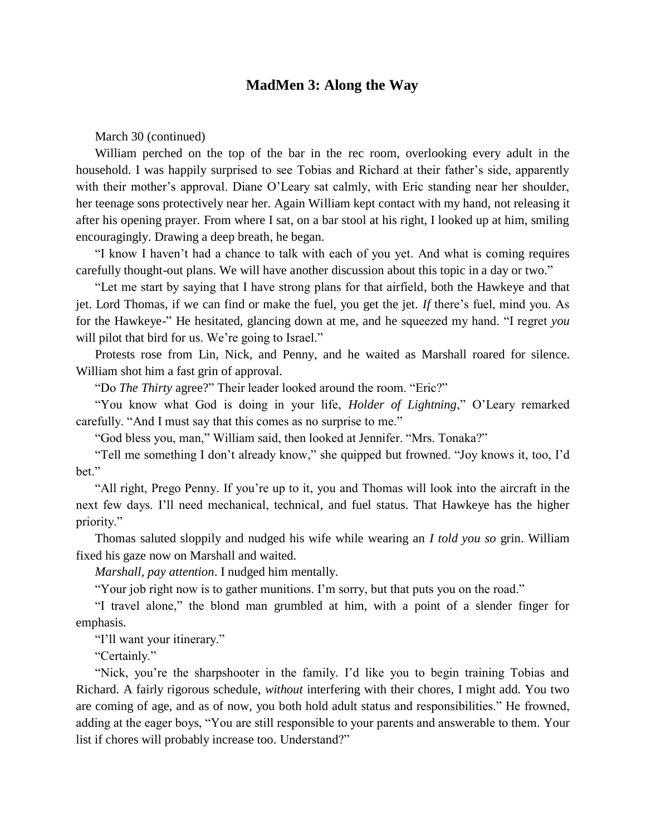# **MadMen 3: Along the Way**

March 30 (continued)

William perched on the top of the bar in the rec room, overlooking every adult in the household. I was happily surprised to see Tobias and Richard at their father's side, apparently with their mother's approval. Diane O'Leary sat calmly, with Eric standing near her shoulder, her teenage sons protectively near her. Again William kept contact with my hand, not releasing it after his opening prayer. From where I sat, on a bar stool at his right, I looked up at him, smiling encouragingly. Drawing a deep breath, he began.

"I know I haven't had a chance to talk with each of you yet. And what is coming requires carefully thought-out plans. We will have another discussion about this topic in a day or two."

"Let me start by saying that I have strong plans for that airfield, both the Hawkeye and that jet. Lord Thomas, if we can find or make the fuel, you get the jet. *If* there's fuel, mind you. As for the Hawkeye-" He hesitated, glancing down at me, and he squeezed my hand. "I regret *you* will pilot that bird for us. We're going to Israel."

Protests rose from Lin, Nick, and Penny, and he waited as Marshall roared for silence. William shot him a fast grin of approval.

"Do *The Thirty* agree?" Their leader looked around the room. "Eric?"

"You know what God is doing in your life, *Holder of Lightning*," O'Leary remarked carefully. "And I must say that this comes as no surprise to me."

"God bless you, man," William said, then looked at Jennifer. "Mrs. Tonaka?"

"Tell me something I don't already know," she quipped but frowned. "Joy knows it, too, I'd bet."

"All right, Prego Penny. If you're up to it, you and Thomas will look into the aircraft in the next few days. I'll need mechanical, technical, and fuel status. That Hawkeye has the higher priority."

Thomas saluted sloppily and nudged his wife while wearing an *I told you so* grin. William fixed his gaze now on Marshall and waited.

*Marshall, pay attention*. I nudged him mentally.

"Your job right now is to gather munitions. I'm sorry, but that puts you on the road."

"I travel alone," the blond man grumbled at him, with a point of a slender finger for emphasis.

"I'll want your itinerary."

"Certainly."

"Nick, you're the sharpshooter in the family. I'd like you to begin training Tobias and Richard. A fairly rigorous schedule, *without* interfering with their chores, I might add. You two are coming of age, and as of now, you both hold adult status and responsibilities." He frowned, adding at the eager boys, "You are still responsible to your parents and answerable to them. Your list if chores will probably increase too. Understand?"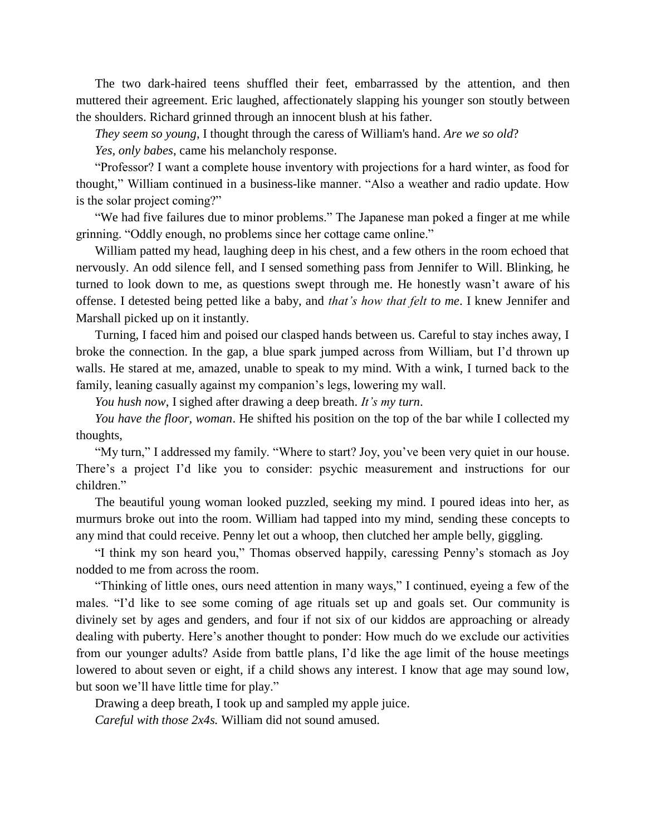The two dark-haired teens shuffled their feet, embarrassed by the attention, and then muttered their agreement. Eric laughed, affectionately slapping his younger son stoutly between the shoulders. Richard grinned through an innocent blush at his father.

*They seem so young*, I thought through the caress of William's hand. *Are we so old*?

*Yes, only babes*, came his melancholy response.

"Professor? I want a complete house inventory with projections for a hard winter, as food for thought," William continued in a business-like manner. "Also a weather and radio update. How is the solar project coming?"

"We had five failures due to minor problems." The Japanese man poked a finger at me while grinning. "Oddly enough, no problems since her cottage came online."

William patted my head, laughing deep in his chest, and a few others in the room echoed that nervously. An odd silence fell, and I sensed something pass from Jennifer to Will. Blinking, he turned to look down to me, as questions swept through me. He honestly wasn't aware of his offense. I detested being petted like a baby, and *that's how that felt to me*. I knew Jennifer and Marshall picked up on it instantly.

Turning, I faced him and poised our clasped hands between us. Careful to stay inches away, I broke the connection. In the gap, a blue spark jumped across from William, but I'd thrown up walls. He stared at me, amazed, unable to speak to my mind. With a wink, I turned back to the family, leaning casually against my companion's legs, lowering my wall.

*You hush now*, I sighed after drawing a deep breath. *It's my turn*.

*You have the floor, woman*. He shifted his position on the top of the bar while I collected my thoughts,

"My turn," I addressed my family. "Where to start? Joy, you've been very quiet in our house. There's a project I'd like you to consider: psychic measurement and instructions for our children."

The beautiful young woman looked puzzled, seeking my mind. I poured ideas into her, as murmurs broke out into the room. William had tapped into my mind, sending these concepts to any mind that could receive. Penny let out a whoop, then clutched her ample belly, giggling.

"I think my son heard you," Thomas observed happily, caressing Penny's stomach as Joy nodded to me from across the room.

"Thinking of little ones, ours need attention in many ways," I continued, eyeing a few of the males. "I'd like to see some coming of age rituals set up and goals set. Our community is divinely set by ages and genders, and four if not six of our kiddos are approaching or already dealing with puberty. Here's another thought to ponder: How much do we exclude our activities from our younger adults? Aside from battle plans, I'd like the age limit of the house meetings lowered to about seven or eight, if a child shows any interest. I know that age may sound low, but soon we'll have little time for play."

Drawing a deep breath, I took up and sampled my apple juice.

*Careful with those 2x4s.* William did not sound amused.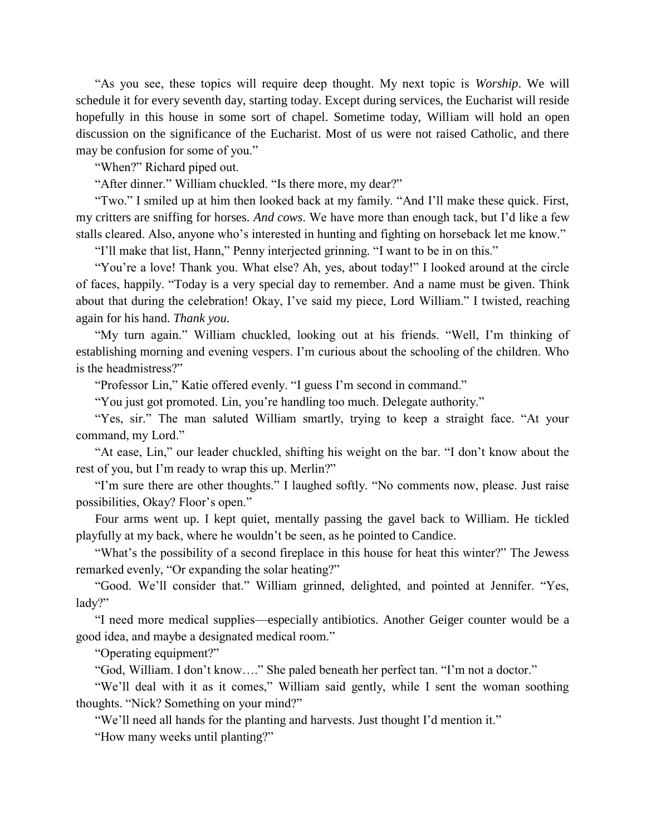"As you see, these topics will require deep thought. My next topic is *Worship*. We will schedule it for every seventh day, starting today. Except during services, the Eucharist will reside hopefully in this house in some sort of chapel. Sometime today, William will hold an open discussion on the significance of the Eucharist. Most of us were not raised Catholic, and there may be confusion for some of you."

"When?" Richard piped out.

"After dinner." William chuckled. "Is there more, my dear?"

"Two." I smiled up at him then looked back at my family. "And I'll make these quick. First, my critters are sniffing for horses. *And cows*. We have more than enough tack, but I'd like a few stalls cleared. Also, anyone who's interested in hunting and fighting on horseback let me know."

"I'll make that list, Hann," Penny interjected grinning. "I want to be in on this."

"You're a love! Thank you. What else? Ah, yes, about today!" I looked around at the circle of faces, happily. "Today is a very special day to remember. And a name must be given. Think about that during the celebration! Okay, I've said my piece, Lord William." I twisted, reaching again for his hand. *Thank you*.

"My turn again." William chuckled, looking out at his friends. "Well, I'm thinking of establishing morning and evening vespers. I'm curious about the schooling of the children. Who is the headmistress?"

"Professor Lin," Katie offered evenly. "I guess I'm second in command."

"You just got promoted. Lin, you're handling too much. Delegate authority."

"Yes, sir." The man saluted William smartly, trying to keep a straight face. "At your command, my Lord."

"At ease, Lin," our leader chuckled, shifting his weight on the bar. "I don't know about the rest of you, but I'm ready to wrap this up. Merlin?"

"I'm sure there are other thoughts." I laughed softly. "No comments now, please. Just raise possibilities, Okay? Floor's open."

Four arms went up. I kept quiet, mentally passing the gavel back to William. He tickled playfully at my back, where he wouldn't be seen, as he pointed to Candice.

"What's the possibility of a second fireplace in this house for heat this winter?" The Jewess remarked evenly, "Or expanding the solar heating?"

"Good. We'll consider that." William grinned, delighted, and pointed at Jennifer. "Yes, lady?"

"I need more medical supplies—especially antibiotics. Another Geiger counter would be a good idea, and maybe a designated medical room."

"Operating equipment?"

"God, William. I don't know…." She paled beneath her perfect tan. "I'm not a doctor."

"We'll deal with it as it comes," William said gently, while I sent the woman soothing thoughts. "Nick? Something on your mind?"

"We'll need all hands for the planting and harvests. Just thought I'd mention it."

"How many weeks until planting?"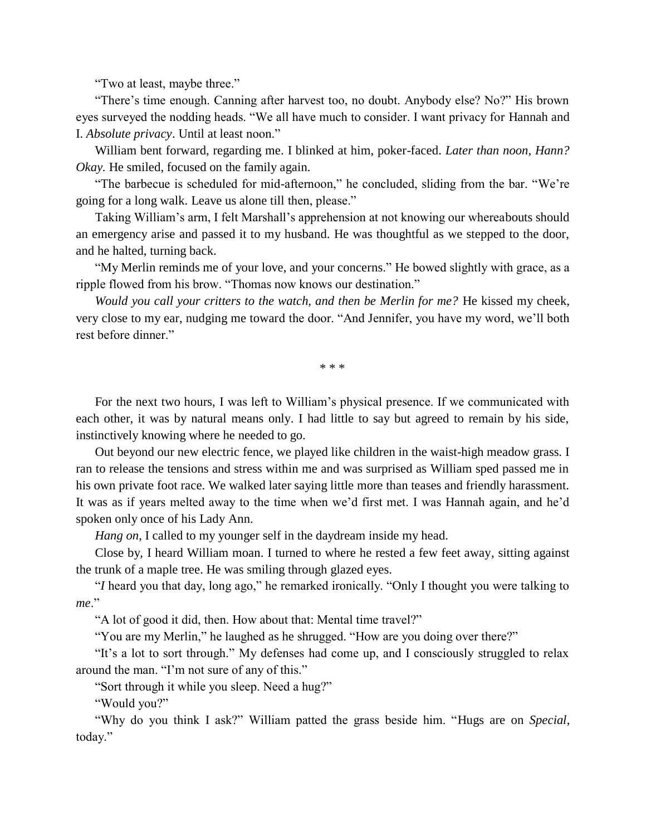"Two at least, maybe three."

"There's time enough. Canning after harvest too, no doubt. Anybody else? No?" His brown eyes surveyed the nodding heads. "We all have much to consider. I want privacy for Hannah and I. *Absolute privacy*. Until at least noon."

William bent forward, regarding me. I blinked at him, poker-faced. *Later than noon, Hann? Okay.* He smiled, focused on the family again.

"The barbecue is scheduled for mid-afternoon," he concluded, sliding from the bar. "We're going for a long walk. Leave us alone till then, please."

Taking William's arm, I felt Marshall's apprehension at not knowing our whereabouts should an emergency arise and passed it to my husband. He was thoughtful as we stepped to the door, and he halted, turning back.

"My Merlin reminds me of your love, and your concerns." He bowed slightly with grace, as a ripple flowed from his brow. "Thomas now knows our destination."

*Would you call your critters to the watch, and then be Merlin for me?* He kissed my cheek, very close to my ear, nudging me toward the door. "And Jennifer, you have my word, we'll both rest before dinner."

\* \* \*

For the next two hours, I was left to William's physical presence. If we communicated with each other, it was by natural means only. I had little to say but agreed to remain by his side, instinctively knowing where he needed to go.

Out beyond our new electric fence, we played like children in the waist-high meadow grass. I ran to release the tensions and stress within me and was surprised as William sped passed me in his own private foot race. We walked later saying little more than teases and friendly harassment. It was as if years melted away to the time when we'd first met. I was Hannah again, and he'd spoken only once of his Lady Ann.

*Hang on*, I called to my younger self in the daydream inside my head.

Close by, I heard William moan. I turned to where he rested a few feet away, sitting against the trunk of a maple tree. He was smiling through glazed eyes.

"*I* heard you that day, long ago," he remarked ironically. "Only I thought you were talking to *me*."

"A lot of good it did, then. How about that: Mental time travel?"

"You are my Merlin," he laughed as he shrugged. "How are you doing over there?"

"It's a lot to sort through." My defenses had come up, and I consciously struggled to relax around the man. "I'm not sure of any of this."

"Sort through it while you sleep. Need a hug?"

"Would you?"

"Why do you think I ask?" William patted the grass beside him. "Hugs are on *Special*, today."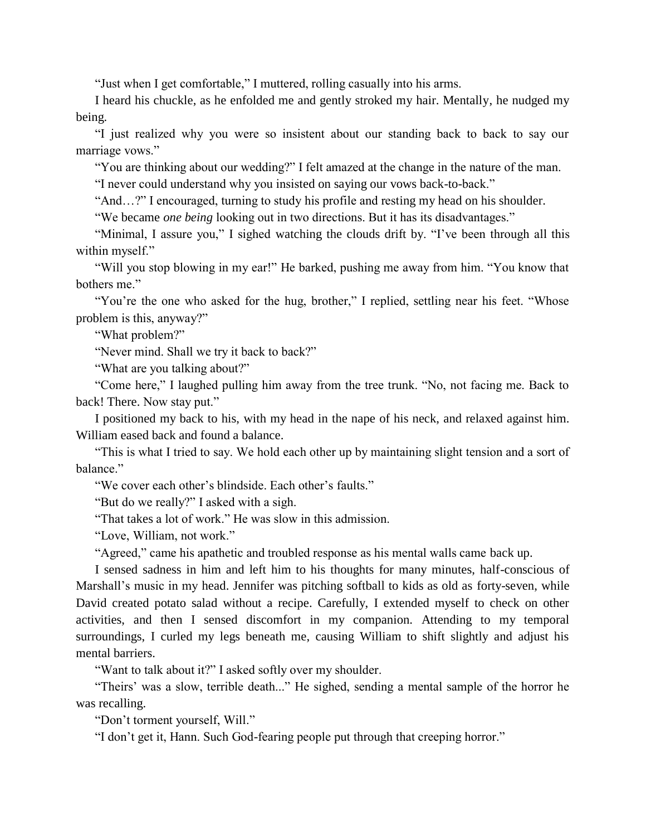"Just when I get comfortable," I muttered, rolling casually into his arms.

I heard his chuckle, as he enfolded me and gently stroked my hair. Mentally, he nudged my being.

"I just realized why you were so insistent about our standing back to back to say our marriage vows."

"You are thinking about our wedding?" I felt amazed at the change in the nature of the man.

"I never could understand why you insisted on saying our vows back-to-back."

"And…?" I encouraged, turning to study his profile and resting my head on his shoulder.

"We became *one being* looking out in two directions. But it has its disadvantages."

"Minimal, I assure you," I sighed watching the clouds drift by. "I've been through all this within myself."

"Will you stop blowing in my ear!" He barked, pushing me away from him. "You know that bothers me."

"You're the one who asked for the hug, brother," I replied, settling near his feet. "Whose problem is this, anyway?"

"What problem?"

"Never mind. Shall we try it back to back?"

"What are you talking about?"

"Come here," I laughed pulling him away from the tree trunk. "No, not facing me. Back to back! There. Now stay put."

I positioned my back to his, with my head in the nape of his neck, and relaxed against him. William eased back and found a balance.

"This is what I tried to say. We hold each other up by maintaining slight tension and a sort of balance."

"We cover each other's blindside. Each other's faults."

"But do we really?" I asked with a sigh.

"That takes a lot of work." He was slow in this admission.

"Love, William, not work."

"Agreed," came his apathetic and troubled response as his mental walls came back up.

I sensed sadness in him and left him to his thoughts for many minutes, half-conscious of Marshall's music in my head. Jennifer was pitching softball to kids as old as forty-seven, while David created potato salad without a recipe. Carefully, I extended myself to check on other activities, and then I sensed discomfort in my companion. Attending to my temporal surroundings, I curled my legs beneath me, causing William to shift slightly and adjust his mental barriers.

"Want to talk about it?" I asked softly over my shoulder.

"Theirs' was a slow, terrible death..." He sighed, sending a mental sample of the horror he was recalling.

"Don't torment yourself, Will."

"I don't get it, Hann. Such God-fearing people put through that creeping horror."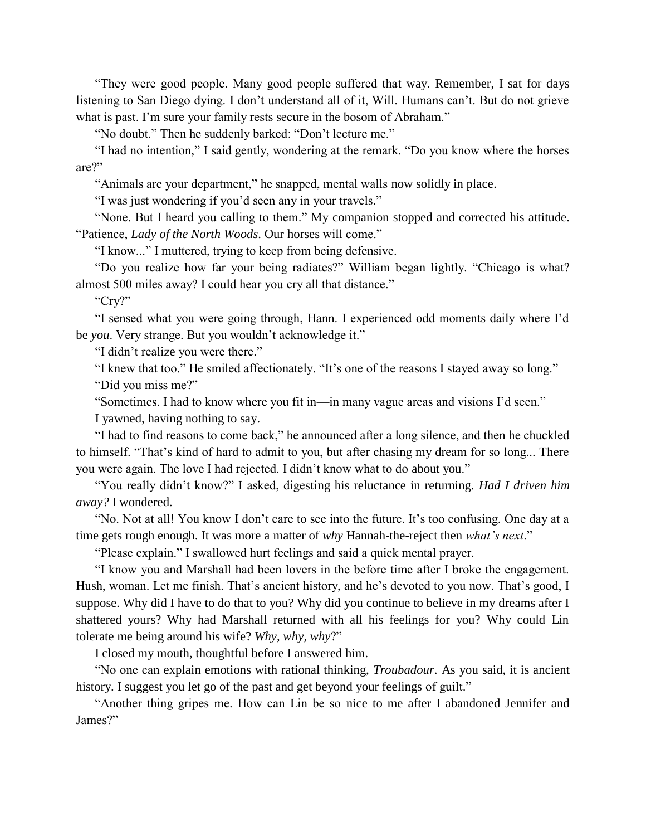"They were good people. Many good people suffered that way. Remember, I sat for days listening to San Diego dying. I don't understand all of it, Will. Humans can't. But do not grieve what is past. I'm sure your family rests secure in the bosom of Abraham."

"No doubt." Then he suddenly barked: "Don't lecture me."

"I had no intention," I said gently, wondering at the remark. "Do you know where the horses are?"

"Animals are your department," he snapped, mental walls now solidly in place.

"I was just wondering if you'd seen any in your travels."

"None. But I heard you calling to them." My companion stopped and corrected his attitude. "Patience, *Lady of the North Woods*. Our horses will come."

"I know..." I muttered, trying to keep from being defensive.

"Do you realize how far your being radiates?" William began lightly. "Chicago is what? almost 500 miles away? I could hear you cry all that distance."

"Cry?"

"I sensed what you were going through, Hann. I experienced odd moments daily where I'd be *you*. Very strange. But you wouldn't acknowledge it."

"I didn't realize you were there."

"I knew that too." He smiled affectionately. "It's one of the reasons I stayed away so long." "Did you miss me?"

"Sometimes. I had to know where you fit in—in many vague areas and visions I'd seen."

I yawned, having nothing to say.

"I had to find reasons to come back," he announced after a long silence, and then he chuckled to himself. "That's kind of hard to admit to you, but after chasing my dream for so long... There you were again. The love I had rejected. I didn't know what to do about you."

"You really didn't know?" I asked, digesting his reluctance in returning. *Had I driven him away?* I wondered.

"No. Not at all! You know I don't care to see into the future. It's too confusing. One day at a time gets rough enough. It was more a matter of *why* Hannah-the-reject then *what's next*."

"Please explain." I swallowed hurt feelings and said a quick mental prayer.

"I know you and Marshall had been lovers in the before time after I broke the engagement. Hush, woman. Let me finish. That's ancient history, and he's devoted to you now. That's good, I suppose. Why did I have to do that to you? Why did you continue to believe in my dreams after I shattered yours? Why had Marshall returned with all his feelings for you? Why could Lin tolerate me being around his wife? *Why, why, why*?"

I closed my mouth, thoughtful before I answered him.

"No one can explain emotions with rational thinking, *Troubadour*. As you said, it is ancient history. I suggest you let go of the past and get beyond your feelings of guilt."

"Another thing gripes me. How can Lin be so nice to me after I abandoned Jennifer and James?"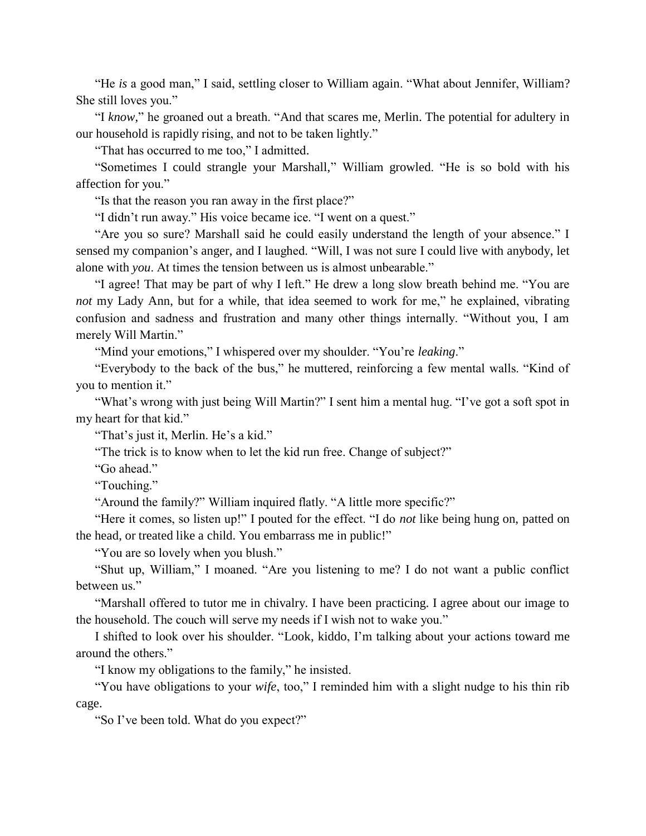"He *is* a good man," I said, settling closer to William again. "What about Jennifer, William? She still loves you."

"I *know*," he groaned out a breath. "And that scares me, Merlin. The potential for adultery in our household is rapidly rising, and not to be taken lightly."

"That has occurred to me too," I admitted.

"Sometimes I could strangle your Marshall," William growled. "He is so bold with his affection for you."

"Is that the reason you ran away in the first place?"

"I didn't run away." His voice became ice. "I went on a quest."

"Are you so sure? Marshall said he could easily understand the length of your absence." I sensed my companion's anger, and I laughed. "Will, I was not sure I could live with anybody, let alone with *you*. At times the tension between us is almost unbearable."

"I agree! That may be part of why I left." He drew a long slow breath behind me. "You are *not* my Lady Ann, but for a while, that idea seemed to work for me," he explained, vibrating confusion and sadness and frustration and many other things internally. "Without you, I am merely Will Martin."

"Mind your emotions," I whispered over my shoulder. "You're *leaking*."

"Everybody to the back of the bus," he muttered, reinforcing a few mental walls. "Kind of you to mention it."

"What's wrong with just being Will Martin?" I sent him a mental hug. "I've got a soft spot in my heart for that kid."

"That's just it, Merlin. He's a kid."

"The trick is to know when to let the kid run free. Change of subject?"

"Go ahead."

"Touching."

"Around the family?" William inquired flatly. "A little more specific?"

"Here it comes, so listen up!" I pouted for the effect. "I do *not* like being hung on, patted on the head, or treated like a child. You embarrass me in public!"

"You are so lovely when you blush."

"Shut up, William," I moaned. "Are you listening to me? I do not want a public conflict between us."

"Marshall offered to tutor me in chivalry. I have been practicing. I agree about our image to the household. The couch will serve my needs if I wish not to wake you."

I shifted to look over his shoulder. "Look, kiddo, I'm talking about your actions toward me around the others."

"I know my obligations to the family," he insisted.

"You have obligations to your *wife*, too," I reminded him with a slight nudge to his thin rib cage.

"So I've been told. What do you expect?"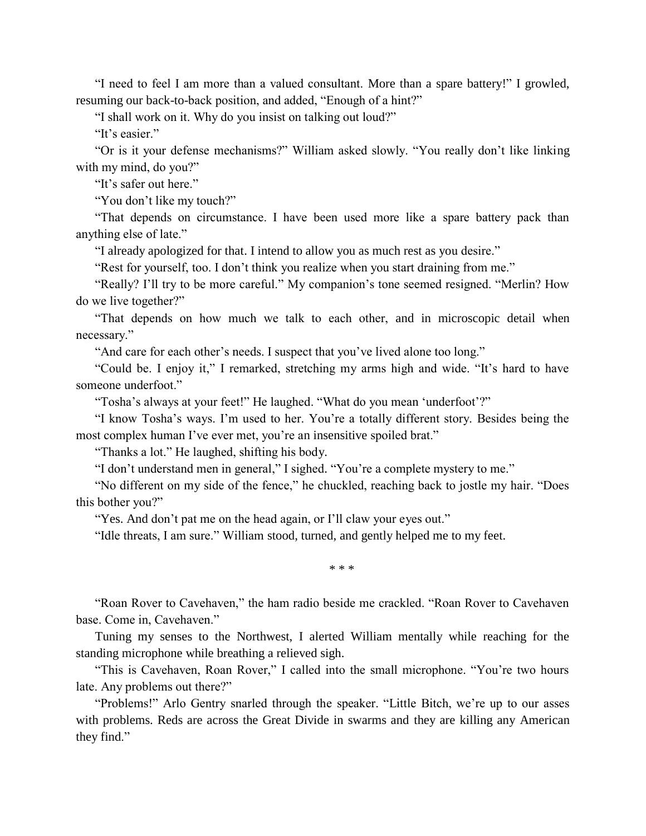"I need to feel I am more than a valued consultant. More than a spare battery!" I growled, resuming our back-to-back position, and added, "Enough of a hint?"

"I shall work on it. Why do you insist on talking out loud?"

"It's easier."

"Or is it your defense mechanisms?" William asked slowly. "You really don't like linking with my mind, do you?"

"It's safer out here."

"You don't like my touch?"

"That depends on circumstance. I have been used more like a spare battery pack than anything else of late."

"I already apologized for that. I intend to allow you as much rest as you desire."

"Rest for yourself, too. I don't think you realize when you start draining from me."

"Really? I'll try to be more careful." My companion's tone seemed resigned. "Merlin? How do we live together?"

"That depends on how much we talk to each other, and in microscopic detail when necessary."

"And care for each other's needs. I suspect that you've lived alone too long."

"Could be. I enjoy it," I remarked, stretching my arms high and wide. "It's hard to have someone underfoot."

"Tosha's always at your feet!" He laughed. "What do you mean 'underfoot'?"

"I know Tosha's ways. I'm used to her. You're a totally different story. Besides being the most complex human I've ever met, you're an insensitive spoiled brat."

"Thanks a lot." He laughed, shifting his body.

"I don't understand men in general," I sighed. "You're a complete mystery to me."

"No different on my side of the fence," he chuckled, reaching back to jostle my hair. "Does this bother you?"

"Yes. And don't pat me on the head again, or I'll claw your eyes out."

"Idle threats, I am sure." William stood, turned, and gently helped me to my feet.

\* \* \*

"Roan Rover to Cavehaven," the ham radio beside me crackled. "Roan Rover to Cavehaven base. Come in, Cavehaven."

Tuning my senses to the Northwest, I alerted William mentally while reaching for the standing microphone while breathing a relieved sigh.

"This is Cavehaven, Roan Rover," I called into the small microphone. "You're two hours late. Any problems out there?"

"Problems!" Arlo Gentry snarled through the speaker. "Little Bitch, we're up to our asses with problems. Reds are across the Great Divide in swarms and they are killing any American they find."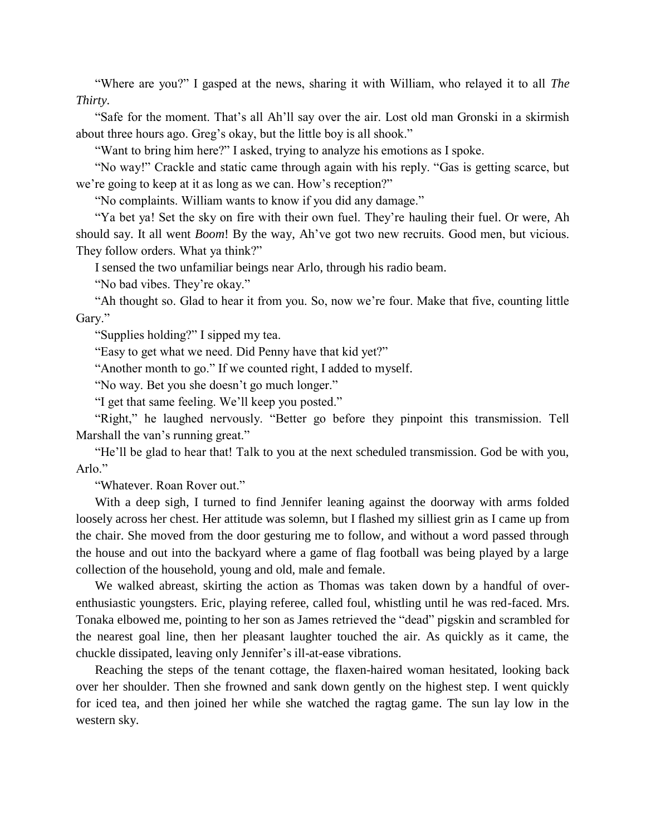"Where are you?" I gasped at the news, sharing it with William, who relayed it to all *The Thirty.*

"Safe for the moment. That's all Ah'll say over the air. Lost old man Gronski in a skirmish about three hours ago. Greg's okay, but the little boy is all shook."

"Want to bring him here?" I asked, trying to analyze his emotions as I spoke.

"No way!" Crackle and static came through again with his reply. "Gas is getting scarce, but we're going to keep at it as long as we can. How's reception?"

"No complaints. William wants to know if you did any damage."

"Ya bet ya! Set the sky on fire with their own fuel. They're hauling their fuel. Or were, Ah should say. It all went *Boom*! By the way, Ah've got two new recruits. Good men, but vicious. They follow orders. What ya think?"

I sensed the two unfamiliar beings near Arlo, through his radio beam.

"No bad vibes. They're okay."

"Ah thought so. Glad to hear it from you. So, now we're four. Make that five, counting little Gary."

"Supplies holding?" I sipped my tea.

"Easy to get what we need. Did Penny have that kid yet?"

"Another month to go." If we counted right, I added to myself.

"No way. Bet you she doesn't go much longer."

"I get that same feeling. We'll keep you posted."

"Right," he laughed nervously. "Better go before they pinpoint this transmission. Tell Marshall the van's running great."

"He'll be glad to hear that! Talk to you at the next scheduled transmission. God be with you, Arlo."

"Whatever. Roan Rover out."

With a deep sigh, I turned to find Jennifer leaning against the doorway with arms folded loosely across her chest. Her attitude was solemn, but I flashed my silliest grin as I came up from the chair. She moved from the door gesturing me to follow, and without a word passed through the house and out into the backyard where a game of flag football was being played by a large collection of the household, young and old, male and female.

We walked abreast, skirting the action as Thomas was taken down by a handful of overenthusiastic youngsters. Eric, playing referee, called foul, whistling until he was red-faced. Mrs. Tonaka elbowed me, pointing to her son as James retrieved the "dead" pigskin and scrambled for the nearest goal line, then her pleasant laughter touched the air. As quickly as it came, the chuckle dissipated, leaving only Jennifer's ill-at-ease vibrations.

Reaching the steps of the tenant cottage, the flaxen-haired woman hesitated, looking back over her shoulder. Then she frowned and sank down gently on the highest step. I went quickly for iced tea, and then joined her while she watched the ragtag game. The sun lay low in the western sky.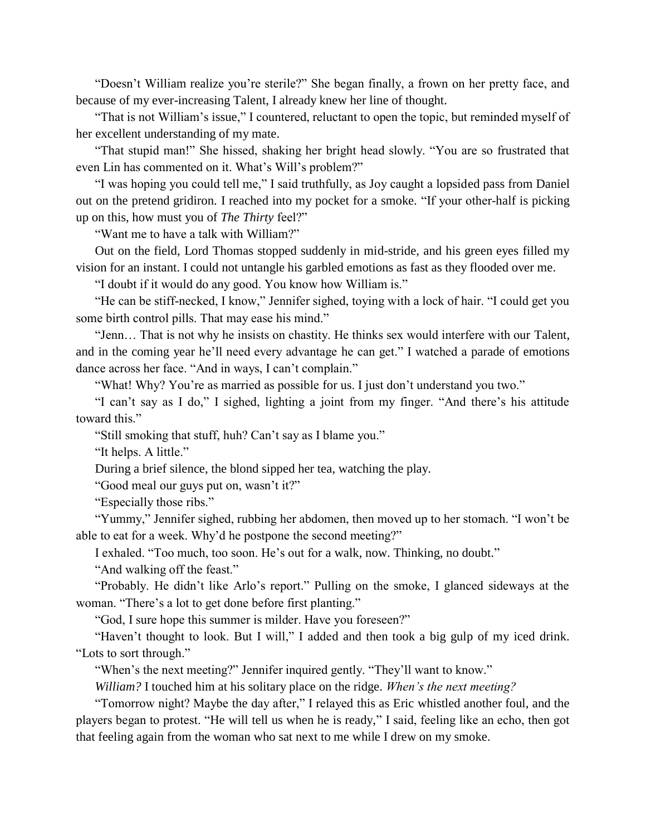"Doesn't William realize you're sterile?" She began finally, a frown on her pretty face, and because of my ever-increasing Talent, I already knew her line of thought.

"That is not William's issue," I countered, reluctant to open the topic, but reminded myself of her excellent understanding of my mate.

"That stupid man!" She hissed, shaking her bright head slowly. "You are so frustrated that even Lin has commented on it. What's Will's problem?"

"I was hoping you could tell me," I said truthfully, as Joy caught a lopsided pass from Daniel out on the pretend gridiron. I reached into my pocket for a smoke. "If your other-half is picking up on this, how must you of *The Thirty* feel?"

"Want me to have a talk with William?"

Out on the field, Lord Thomas stopped suddenly in mid-stride, and his green eyes filled my vision for an instant. I could not untangle his garbled emotions as fast as they flooded over me.

"I doubt if it would do any good. You know how William is."

"He can be stiff-necked, I know," Jennifer sighed, toying with a lock of hair. "I could get you some birth control pills. That may ease his mind."

"Jenn… That is not why he insists on chastity. He thinks sex would interfere with our Talent, and in the coming year he'll need every advantage he can get." I watched a parade of emotions dance across her face. "And in ways, I can't complain."

"What! Why? You're as married as possible for us. I just don't understand you two."

"I can't say as I do," I sighed, lighting a joint from my finger. "And there's his attitude toward this."

"Still smoking that stuff, huh? Can't say as I blame you."

"It helps. A little."

During a brief silence, the blond sipped her tea, watching the play.

"Good meal our guys put on, wasn't it?"

"Especially those ribs."

"Yummy," Jennifer sighed, rubbing her abdomen, then moved up to her stomach. "I won't be able to eat for a week. Why'd he postpone the second meeting?"

I exhaled. "Too much, too soon. He's out for a walk, now. Thinking, no doubt."

"And walking off the feast."

"Probably. He didn't like Arlo's report." Pulling on the smoke, I glanced sideways at the woman. "There's a lot to get done before first planting."

"God, I sure hope this summer is milder. Have you foreseen?"

"Haven't thought to look. But I will," I added and then took a big gulp of my iced drink. "Lots to sort through."

"When's the next meeting?" Jennifer inquired gently. "They'll want to know."

*William?* I touched him at his solitary place on the ridge. *When's the next meeting?*

"Tomorrow night? Maybe the day after," I relayed this as Eric whistled another foul, and the players began to protest. "He will tell us when he is ready," I said, feeling like an echo, then got that feeling again from the woman who sat next to me while I drew on my smoke.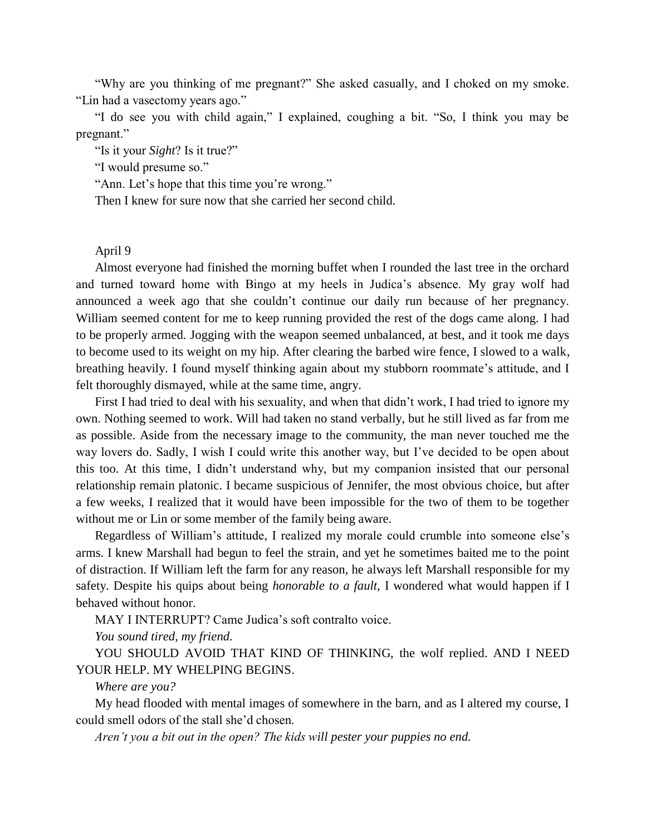"Why are you thinking of me pregnant?" She asked casually, and I choked on my smoke. "Lin had a vasectomy years ago."

"I do see you with child again," I explained, coughing a bit. "So, I think you may be pregnant."

"Is it your *Sight*? Is it true?"

"I would presume so."

"Ann. Let's hope that this time you're wrong."

Then I knew for sure now that she carried her second child.

### April 9

Almost everyone had finished the morning buffet when I rounded the last tree in the orchard and turned toward home with Bingo at my heels in Judica's absence. My gray wolf had announced a week ago that she couldn't continue our daily run because of her pregnancy. William seemed content for me to keep running provided the rest of the dogs came along. I had to be properly armed. Jogging with the weapon seemed unbalanced, at best, and it took me days to become used to its weight on my hip. After clearing the barbed wire fence, I slowed to a walk, breathing heavily. I found myself thinking again about my stubborn roommate's attitude, and I felt thoroughly dismayed, while at the same time, angry.

First I had tried to deal with his sexuality, and when that didn't work, I had tried to ignore my own. Nothing seemed to work. Will had taken no stand verbally, but he still lived as far from me as possible. Aside from the necessary image to the community, the man never touched me the way lovers do. Sadly, I wish I could write this another way, but I've decided to be open about this too. At this time, I didn't understand why, but my companion insisted that our personal relationship remain platonic. I became suspicious of Jennifer, the most obvious choice, but after a few weeks, I realized that it would have been impossible for the two of them to be together without me or Lin or some member of the family being aware.

Regardless of William's attitude, I realized my morale could crumble into someone else's arms. I knew Marshall had begun to feel the strain, and yet he sometimes baited me to the point of distraction. If William left the farm for any reason, he always left Marshall responsible for my safety. Despite his quips about being *honorable to a fault,* I wondered what would happen if I behaved without honor.

MAY I INTERRUPT? Came Judica's soft contralto voice.

*You sound tired, my friend.*

YOU SHOULD AVOID THAT KIND OF THINKING, the wolf replied. AND I NEED YOUR HELP. MY WHELPING BEGINS.

*Where are you?*

My head flooded with mental images of somewhere in the barn, and as I altered my course, I could smell odors of the stall she'd chosen.

*Aren't you a bit out in the open? The kids will pester your puppies no end.*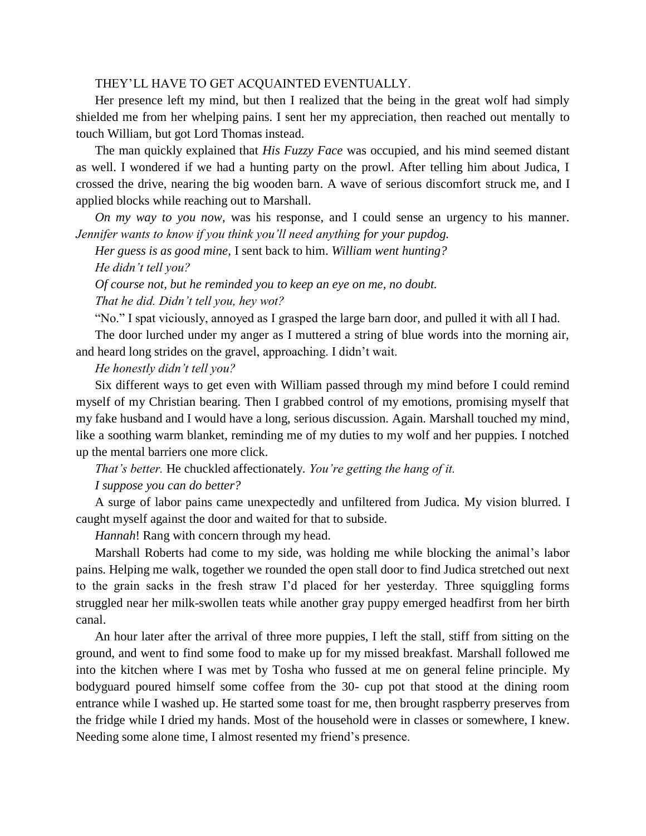# THEY'LL HAVE TO GET ACQUAINTED EVENTUALLY.

Her presence left my mind, but then I realized that the being in the great wolf had simply shielded me from her whelping pains. I sent her my appreciation, then reached out mentally to touch William, but got Lord Thomas instead.

The man quickly explained that *His Fuzzy Face* was occupied, and his mind seemed distant as well. I wondered if we had a hunting party on the prowl. After telling him about Judica, I crossed the drive, nearing the big wooden barn. A wave of serious discomfort struck me, and I applied blocks while reaching out to Marshall.

*On my way to you now,* was his response, and I could sense an urgency to his manner. *Jennifer wants to know if you think you'll need anything for your pupdog.*

*Her guess is as good mine,* I sent back to him. *William went hunting? He didn't tell you?*

*Of course not, but he reminded you to keep an eye on me, no doubt. That he did. Didn't tell you, hey wot?*

"No." I spat viciously, annoyed as I grasped the large barn door, and pulled it with all I had.

The door lurched under my anger as I muttered a string of blue words into the morning air, and heard long strides on the gravel, approaching. I didn't wait.

*He honestly didn't tell you?*

Six different ways to get even with William passed through my mind before I could remind myself of my Christian bearing. Then I grabbed control of my emotions, promising myself that my fake husband and I would have a long, serious discussion. Again. Marshall touched my mind, like a soothing warm blanket, reminding me of my duties to my wolf and her puppies. I notched up the mental barriers one more click.

*That's better.* He chuckled affectionately. *You're getting the hang of it.*

*I suppose you can do better?*

A surge of labor pains came unexpectedly and unfiltered from Judica. My vision blurred. I caught myself against the door and waited for that to subside.

*Hannah*! Rang with concern through my head.

Marshall Roberts had come to my side, was holding me while blocking the animal's labor pains. Helping me walk, together we rounded the open stall door to find Judica stretched out next to the grain sacks in the fresh straw I'd placed for her yesterday. Three squiggling forms struggled near her milk-swollen teats while another gray puppy emerged headfirst from her birth canal.

An hour later after the arrival of three more puppies, I left the stall, stiff from sitting on the ground, and went to find some food to make up for my missed breakfast. Marshall followed me into the kitchen where I was met by Tosha who fussed at me on general feline principle. My bodyguard poured himself some coffee from the 30- cup pot that stood at the dining room entrance while I washed up. He started some toast for me, then brought raspberry preserves from the fridge while I dried my hands. Most of the household were in classes or somewhere, I knew. Needing some alone time, I almost resented my friend's presence.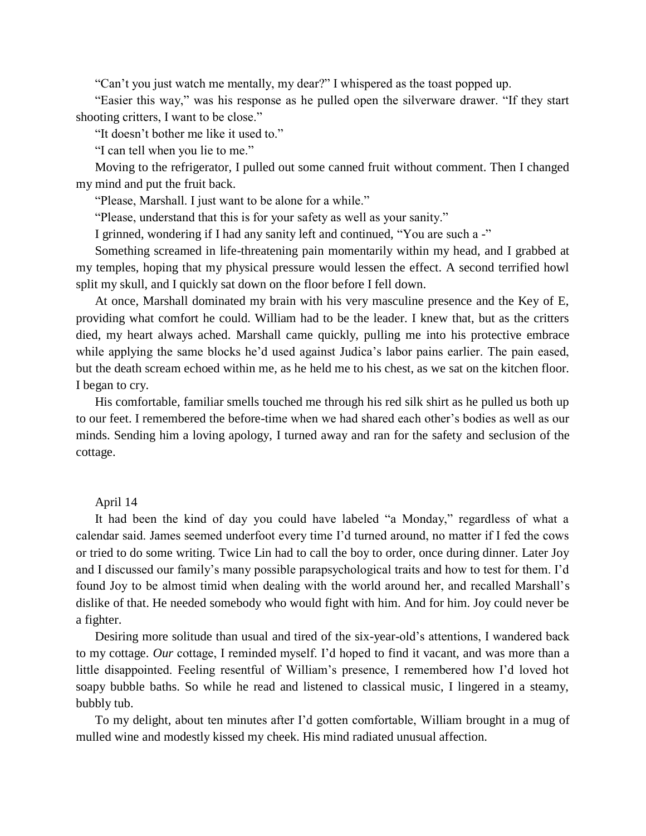"Can't you just watch me mentally, my dear?" I whispered as the toast popped up.

"Easier this way," was his response as he pulled open the silverware drawer. "If they start shooting critters, I want to be close."

"It doesn't bother me like it used to."

"I can tell when you lie to me."

Moving to the refrigerator, I pulled out some canned fruit without comment. Then I changed my mind and put the fruit back.

"Please, Marshall. I just want to be alone for a while."

"Please, understand that this is for your safety as well as your sanity."

I grinned, wondering if I had any sanity left and continued, "You are such a -"

Something screamed in life-threatening pain momentarily within my head, and I grabbed at my temples, hoping that my physical pressure would lessen the effect. A second terrified howl split my skull, and I quickly sat down on the floor before I fell down.

At once, Marshall dominated my brain with his very masculine presence and the Key of E, providing what comfort he could. William had to be the leader. I knew that, but as the critters died, my heart always ached. Marshall came quickly, pulling me into his protective embrace while applying the same blocks he'd used against Judica's labor pains earlier. The pain eased, but the death scream echoed within me, as he held me to his chest, as we sat on the kitchen floor. I began to cry.

His comfortable, familiar smells touched me through his red silk shirt as he pulled us both up to our feet. I remembered the before-time when we had shared each other's bodies as well as our minds. Sending him a loving apology, I turned away and ran for the safety and seclusion of the cottage.

#### April 14

It had been the kind of day you could have labeled "a Monday," regardless of what a calendar said. James seemed underfoot every time I'd turned around, no matter if I fed the cows or tried to do some writing. Twice Lin had to call the boy to order, once during dinner. Later Joy and I discussed our family's many possible parapsychological traits and how to test for them. I'd found Joy to be almost timid when dealing with the world around her, and recalled Marshall's dislike of that. He needed somebody who would fight with him. And for him. Joy could never be a fighter.

Desiring more solitude than usual and tired of the six-year-old's attentions, I wandered back to my cottage. *Our* cottage, I reminded myself. I'd hoped to find it vacant, and was more than a little disappointed. Feeling resentful of William's presence, I remembered how I'd loved hot soapy bubble baths. So while he read and listened to classical music, I lingered in a steamy, bubbly tub.

To my delight, about ten minutes after I'd gotten comfortable, William brought in a mug of mulled wine and modestly kissed my cheek. His mind radiated unusual affection.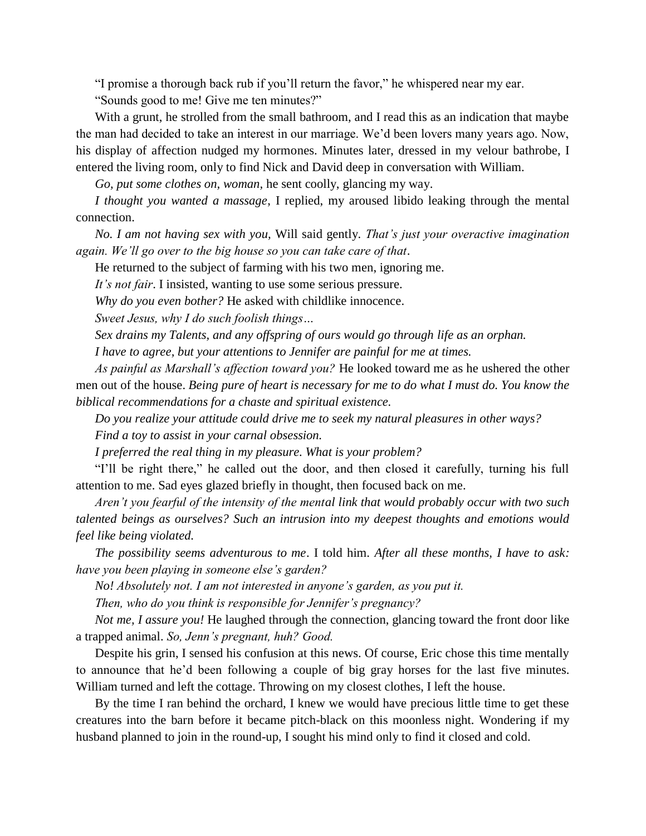"I promise a thorough back rub if you'll return the favor," he whispered near my ear.

"Sounds good to me! Give me ten minutes?"

With a grunt, he strolled from the small bathroom, and I read this as an indication that maybe the man had decided to take an interest in our marriage. We'd been lovers many years ago. Now, his display of affection nudged my hormones. Minutes later, dressed in my velour bathrobe, I entered the living room, only to find Nick and David deep in conversation with William.

*Go, put some clothes on, woman,* he sent coolly, glancing my way.

*I thought you wanted a massage*, I replied, my aroused libido leaking through the mental connection.

*No. I am not having sex with you,* Will said gently. *That's just your overactive imagination again. We'll go over to the big house so you can take care of that*.

He returned to the subject of farming with his two men, ignoring me.

*It's not fair*. I insisted, wanting to use some serious pressure.

*Why do you even bother?* He asked with childlike innocence.

*Sweet Jesus, why I do such foolish things…*

*Sex drains my Talents, and any offspring of ours would go through life as an orphan.*

*I have to agree, but your attentions to Jennifer are painful for me at times.*

*As painful as Marshall's affection toward you?* He looked toward me as he ushered the other men out of the house. *Being pure of heart is necessary for me to do what I must do. You know the biblical recommendations for a chaste and spiritual existence.*

*Do you realize your attitude could drive me to seek my natural pleasures in other ways?*

*Find a toy to assist in your carnal obsession.*

*I preferred the real thing in my pleasure. What is your problem?*

"I'll be right there," he called out the door, and then closed it carefully, turning his full attention to me. Sad eyes glazed briefly in thought, then focused back on me.

*Aren't you fearful of the intensity of the mental link that would probably occur with two such talented beings as ourselves? Such an intrusion into my deepest thoughts and emotions would feel like being violated.*

*The possibility seems adventurous to me*. I told him. *After all these months, I have to ask: have you been playing in someone else's garden?*

*No! Absolutely not. I am not interested in anyone's garden, as you put it.*

*Then, who do you think is responsible for Jennifer's pregnancy?*

*Not me, I assure you!* He laughed through the connection, glancing toward the front door like a trapped animal. *So, Jenn's pregnant, huh? Good.*

Despite his grin, I sensed his confusion at this news. Of course, Eric chose this time mentally to announce that he'd been following a couple of big gray horses for the last five minutes. William turned and left the cottage. Throwing on my closest clothes, I left the house.

By the time I ran behind the orchard, I knew we would have precious little time to get these creatures into the barn before it became pitch-black on this moonless night. Wondering if my husband planned to join in the round-up, I sought his mind only to find it closed and cold.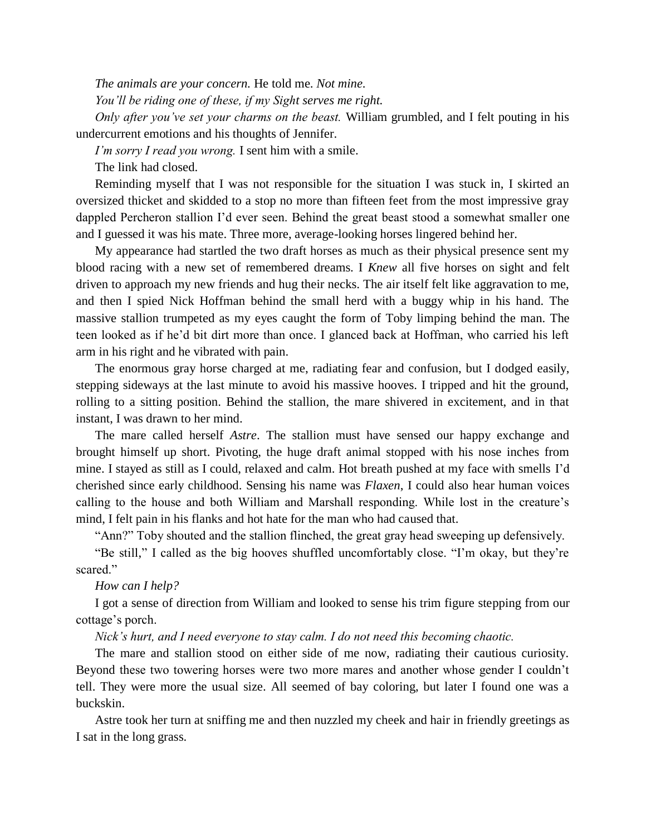*The animals are your concern.* He told me. *Not mine.*

*You'll be riding one of these, if my Sight serves me right.*

*Only after you've set your charms on the beast.* William grumbled, and I felt pouting in his undercurrent emotions and his thoughts of Jennifer.

*I'm sorry I read you wrong.* I sent him with a smile.

The link had closed.

Reminding myself that I was not responsible for the situation I was stuck in, I skirted an oversized thicket and skidded to a stop no more than fifteen feet from the most impressive gray dappled Percheron stallion I'd ever seen. Behind the great beast stood a somewhat smaller one and I guessed it was his mate. Three more, average-looking horses lingered behind her.

My appearance had startled the two draft horses as much as their physical presence sent my blood racing with a new set of remembered dreams. I *Knew* all five horses on sight and felt driven to approach my new friends and hug their necks. The air itself felt like aggravation to me, and then I spied Nick Hoffman behind the small herd with a buggy whip in his hand. The massive stallion trumpeted as my eyes caught the form of Toby limping behind the man. The teen looked as if he'd bit dirt more than once. I glanced back at Hoffman, who carried his left arm in his right and he vibrated with pain.

The enormous gray horse charged at me, radiating fear and confusion, but I dodged easily, stepping sideways at the last minute to avoid his massive hooves. I tripped and hit the ground, rolling to a sitting position. Behind the stallion, the mare shivered in excitement, and in that instant, I was drawn to her mind.

The mare called herself *Astre*. The stallion must have sensed our happy exchange and brought himself up short. Pivoting, the huge draft animal stopped with his nose inches from mine. I stayed as still as I could, relaxed and calm. Hot breath pushed at my face with smells I'd cherished since early childhood. Sensing his name was *Flaxen*, I could also hear human voices calling to the house and both William and Marshall responding. While lost in the creature's mind, I felt pain in his flanks and hot hate for the man who had caused that.

"Ann?" Toby shouted and the stallion flinched, the great gray head sweeping up defensively.

"Be still," I called as the big hooves shuffled uncomfortably close. "I'm okay, but they're scared."

### *How can I help?*

I got a sense of direction from William and looked to sense his trim figure stepping from our cottage's porch.

*Nick's hurt, and I need everyone to stay calm. I do not need this becoming chaotic.*

The mare and stallion stood on either side of me now, radiating their cautious curiosity. Beyond these two towering horses were two more mares and another whose gender I couldn't tell. They were more the usual size. All seemed of bay coloring, but later I found one was a buckskin.

Astre took her turn at sniffing me and then nuzzled my cheek and hair in friendly greetings as I sat in the long grass.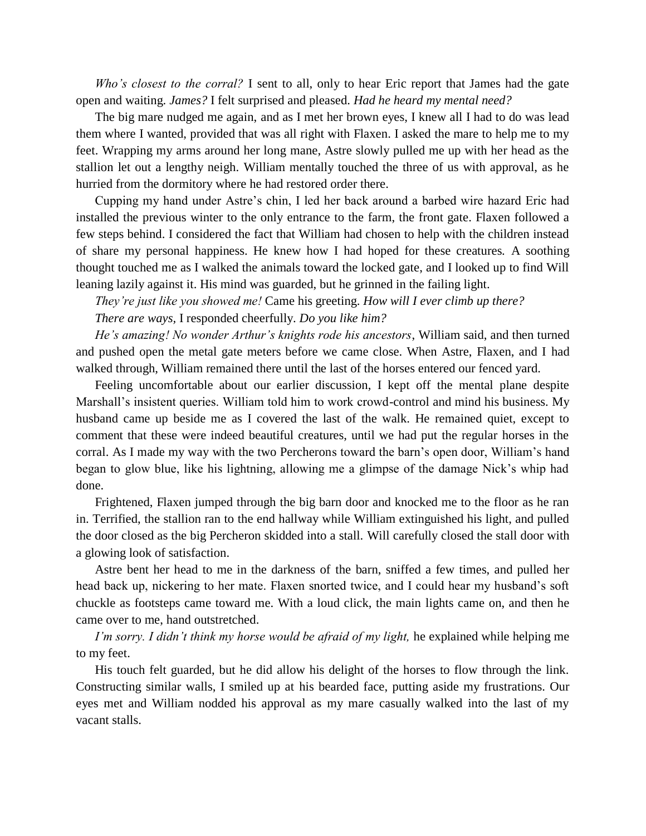*Who's closest to the corral?* I sent to all, only to hear Eric report that James had the gate open and waiting. *James?* I felt surprised and pleased. *Had he heard my mental need?*

The big mare nudged me again, and as I met her brown eyes, I knew all I had to do was lead them where I wanted, provided that was all right with Flaxen. I asked the mare to help me to my feet. Wrapping my arms around her long mane, Astre slowly pulled me up with her head as the stallion let out a lengthy neigh. William mentally touched the three of us with approval, as he hurried from the dormitory where he had restored order there.

Cupping my hand under Astre's chin, I led her back around a barbed wire hazard Eric had installed the previous winter to the only entrance to the farm, the front gate. Flaxen followed a few steps behind. I considered the fact that William had chosen to help with the children instead of share my personal happiness. He knew how I had hoped for these creatures. A soothing thought touched me as I walked the animals toward the locked gate, and I looked up to find Will leaning lazily against it. His mind was guarded, but he grinned in the failing light.

*They're just like you showed me!* Came his greeting. *How will I ever climb up there? There are ways,* I responded cheerfully. *Do you like him?*

*He's amazing! No wonder Arthur's knights rode his ancestors*, William said, and then turned and pushed open the metal gate meters before we came close. When Astre, Flaxen, and I had walked through, William remained there until the last of the horses entered our fenced yard.

Feeling uncomfortable about our earlier discussion, I kept off the mental plane despite Marshall's insistent queries. William told him to work crowd-control and mind his business. My husband came up beside me as I covered the last of the walk. He remained quiet, except to comment that these were indeed beautiful creatures, until we had put the regular horses in the corral. As I made my way with the two Percherons toward the barn's open door, William's hand began to glow blue, like his lightning, allowing me a glimpse of the damage Nick's whip had done.

Frightened, Flaxen jumped through the big barn door and knocked me to the floor as he ran in. Terrified, the stallion ran to the end hallway while William extinguished his light, and pulled the door closed as the big Percheron skidded into a stall. Will carefully closed the stall door with a glowing look of satisfaction.

Astre bent her head to me in the darkness of the barn, sniffed a few times, and pulled her head back up, nickering to her mate. Flaxen snorted twice, and I could hear my husband's soft chuckle as footsteps came toward me. With a loud click, the main lights came on, and then he came over to me, hand outstretched.

*I'm sorry. I didn't think my horse would be afraid of my light,* he explained while helping me to my feet.

His touch felt guarded, but he did allow his delight of the horses to flow through the link. Constructing similar walls, I smiled up at his bearded face, putting aside my frustrations. Our eyes met and William nodded his approval as my mare casually walked into the last of my vacant stalls.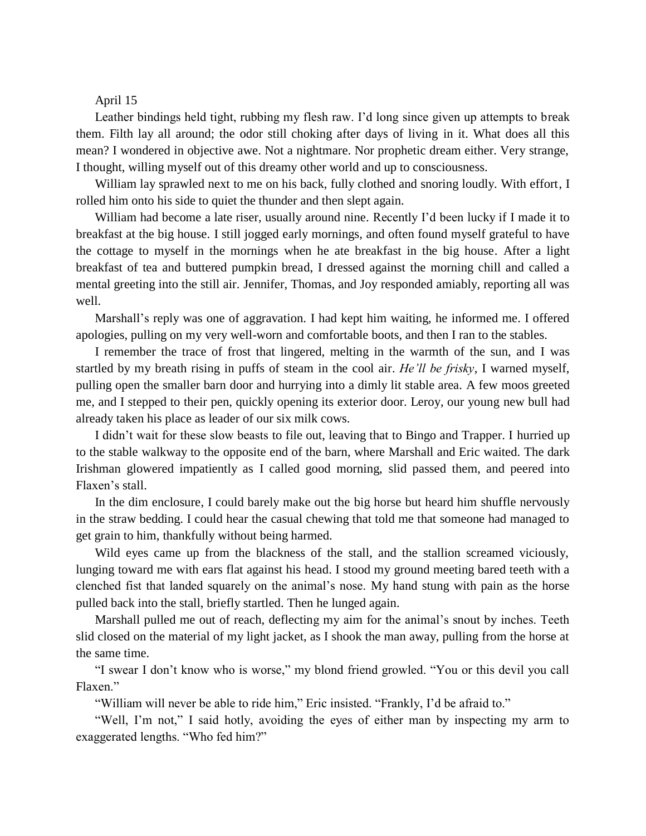## April 15

Leather bindings held tight, rubbing my flesh raw. I'd long since given up attempts to break them. Filth lay all around; the odor still choking after days of living in it. What does all this mean? I wondered in objective awe. Not a nightmare. Nor prophetic dream either. Very strange, I thought, willing myself out of this dreamy other world and up to consciousness.

William lay sprawled next to me on his back, fully clothed and snoring loudly. With effort, I rolled him onto his side to quiet the thunder and then slept again.

William had become a late riser, usually around nine. Recently I'd been lucky if I made it to breakfast at the big house. I still jogged early mornings, and often found myself grateful to have the cottage to myself in the mornings when he ate breakfast in the big house. After a light breakfast of tea and buttered pumpkin bread, I dressed against the morning chill and called a mental greeting into the still air. Jennifer, Thomas, and Joy responded amiably, reporting all was well.

Marshall's reply was one of aggravation. I had kept him waiting, he informed me. I offered apologies, pulling on my very well-worn and comfortable boots, and then I ran to the stables.

I remember the trace of frost that lingered, melting in the warmth of the sun, and I was startled by my breath rising in puffs of steam in the cool air. *He'll be frisky*, I warned myself, pulling open the smaller barn door and hurrying into a dimly lit stable area. A few moos greeted me, and I stepped to their pen, quickly opening its exterior door. Leroy, our young new bull had already taken his place as leader of our six milk cows.

I didn't wait for these slow beasts to file out, leaving that to Bingo and Trapper. I hurried up to the stable walkway to the opposite end of the barn, where Marshall and Eric waited. The dark Irishman glowered impatiently as I called good morning, slid passed them, and peered into Flaxen's stall.

In the dim enclosure, I could barely make out the big horse but heard him shuffle nervously in the straw bedding. I could hear the casual chewing that told me that someone had managed to get grain to him, thankfully without being harmed.

Wild eyes came up from the blackness of the stall, and the stallion screamed viciously, lunging toward me with ears flat against his head. I stood my ground meeting bared teeth with a clenched fist that landed squarely on the animal's nose. My hand stung with pain as the horse pulled back into the stall, briefly startled. Then he lunged again.

Marshall pulled me out of reach, deflecting my aim for the animal's snout by inches. Teeth slid closed on the material of my light jacket, as I shook the man away, pulling from the horse at the same time.

"I swear I don't know who is worse," my blond friend growled. "You or this devil you call Flaxen."

"William will never be able to ride him," Eric insisted. "Frankly, I'd be afraid to."

"Well, I'm not," I said hotly, avoiding the eyes of either man by inspecting my arm to exaggerated lengths. "Who fed him?"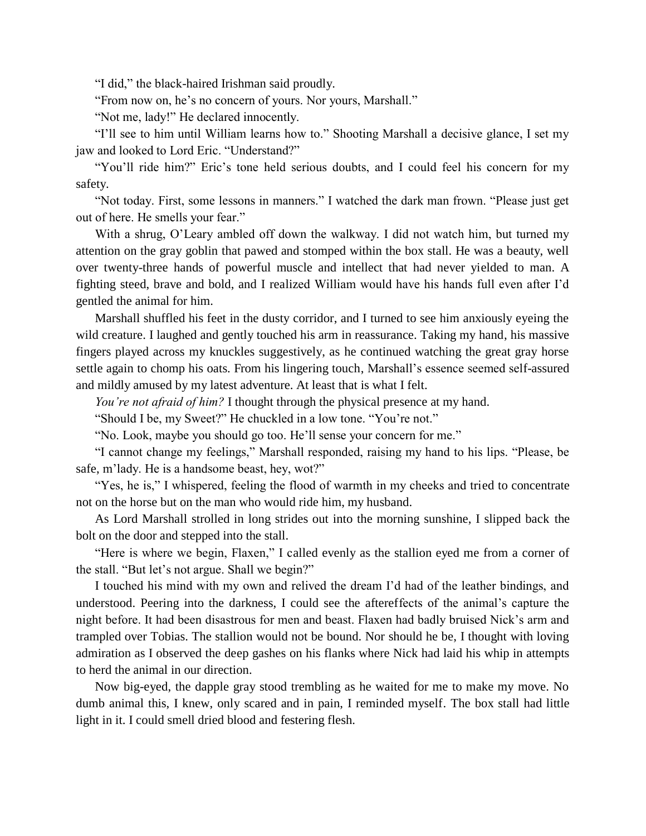"I did," the black-haired Irishman said proudly.

"From now on, he's no concern of yours. Nor yours, Marshall."

"Not me, lady!" He declared innocently.

"I'll see to him until William learns how to." Shooting Marshall a decisive glance, I set my jaw and looked to Lord Eric. "Understand?"

"You'll ride him?" Eric's tone held serious doubts, and I could feel his concern for my safety.

"Not today. First, some lessons in manners." I watched the dark man frown. "Please just get out of here. He smells your fear."

With a shrug, O'Leary ambled off down the walkway. I did not watch him, but turned my attention on the gray goblin that pawed and stomped within the box stall. He was a beauty, well over twenty-three hands of powerful muscle and intellect that had never yielded to man. A fighting steed, brave and bold, and I realized William would have his hands full even after I'd gentled the animal for him.

Marshall shuffled his feet in the dusty corridor, and I turned to see him anxiously eyeing the wild creature. I laughed and gently touched his arm in reassurance. Taking my hand, his massive fingers played across my knuckles suggestively, as he continued watching the great gray horse settle again to chomp his oats. From his lingering touch, Marshall's essence seemed self-assured and mildly amused by my latest adventure. At least that is what I felt.

*You're not afraid of him?* I thought through the physical presence at my hand.

"Should I be, my Sweet?" He chuckled in a low tone. "You're not."

"No. Look, maybe you should go too. He'll sense your concern for me."

"I cannot change my feelings," Marshall responded, raising my hand to his lips. "Please, be safe, m'lady. He is a handsome beast, hey, wot?"

"Yes, he is," I whispered, feeling the flood of warmth in my cheeks and tried to concentrate not on the horse but on the man who would ride him, my husband.

As Lord Marshall strolled in long strides out into the morning sunshine, I slipped back the bolt on the door and stepped into the stall.

"Here is where we begin, Flaxen," I called evenly as the stallion eyed me from a corner of the stall. "But let's not argue. Shall we begin?"

I touched his mind with my own and relived the dream I'd had of the leather bindings, and understood. Peering into the darkness, I could see the aftereffects of the animal's capture the night before. It had been disastrous for men and beast. Flaxen had badly bruised Nick's arm and trampled over Tobias. The stallion would not be bound. Nor should he be, I thought with loving admiration as I observed the deep gashes on his flanks where Nick had laid his whip in attempts to herd the animal in our direction.

Now big-eyed, the dapple gray stood trembling as he waited for me to make my move. No dumb animal this, I knew, only scared and in pain, I reminded myself. The box stall had little light in it. I could smell dried blood and festering flesh.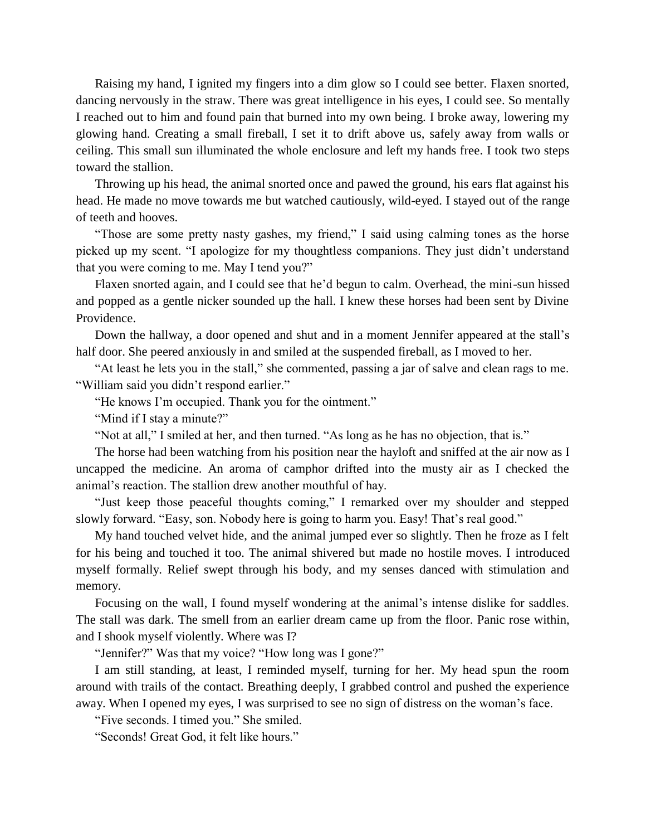Raising my hand, I ignited my fingers into a dim glow so I could see better. Flaxen snorted, dancing nervously in the straw. There was great intelligence in his eyes, I could see. So mentally I reached out to him and found pain that burned into my own being. I broke away, lowering my glowing hand. Creating a small fireball, I set it to drift above us, safely away from walls or ceiling. This small sun illuminated the whole enclosure and left my hands free. I took two steps toward the stallion.

Throwing up his head, the animal snorted once and pawed the ground, his ears flat against his head. He made no move towards me but watched cautiously, wild-eyed. I stayed out of the range of teeth and hooves.

"Those are some pretty nasty gashes, my friend," I said using calming tones as the horse picked up my scent. "I apologize for my thoughtless companions. They just didn't understand that you were coming to me. May I tend you?"

Flaxen snorted again, and I could see that he'd begun to calm. Overhead, the mini-sun hissed and popped as a gentle nicker sounded up the hall. I knew these horses had been sent by Divine Providence.

Down the hallway, a door opened and shut and in a moment Jennifer appeared at the stall's half door. She peered anxiously in and smiled at the suspended fireball, as I moved to her.

"At least he lets you in the stall," she commented, passing a jar of salve and clean rags to me. "William said you didn't respond earlier."

"He knows I'm occupied. Thank you for the ointment."

"Mind if I stay a minute?"

"Not at all," I smiled at her, and then turned. "As long as he has no objection, that is."

The horse had been watching from his position near the hayloft and sniffed at the air now as I uncapped the medicine. An aroma of camphor drifted into the musty air as I checked the animal's reaction. The stallion drew another mouthful of hay.

"Just keep those peaceful thoughts coming," I remarked over my shoulder and stepped slowly forward. "Easy, son. Nobody here is going to harm you. Easy! That's real good."

My hand touched velvet hide, and the animal jumped ever so slightly. Then he froze as I felt for his being and touched it too. The animal shivered but made no hostile moves. I introduced myself formally. Relief swept through his body, and my senses danced with stimulation and memory.

Focusing on the wall, I found myself wondering at the animal's intense dislike for saddles. The stall was dark. The smell from an earlier dream came up from the floor. Panic rose within, and I shook myself violently. Where was I?

"Jennifer?" Was that my voice? "How long was I gone?"

I am still standing, at least, I reminded myself, turning for her. My head spun the room around with trails of the contact. Breathing deeply, I grabbed control and pushed the experience away. When I opened my eyes, I was surprised to see no sign of distress on the woman's face.

"Five seconds. I timed you." She smiled.

"Seconds! Great God, it felt like hours."